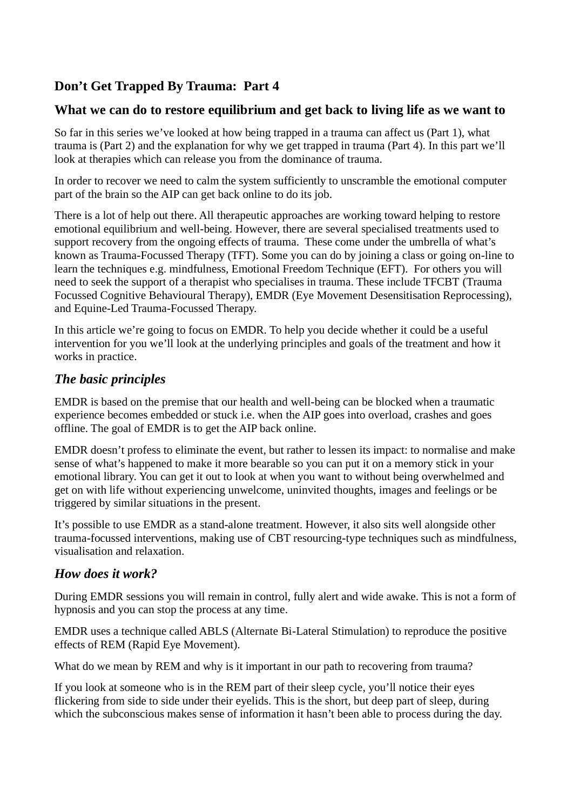# **Don't Get Trapped By Trauma: Part 4**

## **What we can do to restore equilibrium and get back to living life as we want to**

So far in this series we've looked at how being trapped in a trauma can affect us (Part 1), what trauma is (Part 2) and the explanation for why we get trapped in trauma (Part 4). In this part we'll look at therapies which can release you from the dominance of trauma.

In order to recover we need to calm the system sufficiently to unscramble the emotional computer part of the brain so the AIP can get back online to do its job.

There is a lot of help out there. All therapeutic approaches are working toward helping to restore emotional equilibrium and well-being. However, there are several specialised treatments used to support recovery from the ongoing effects of trauma. These come under the umbrella of what's known as Trauma-Focussed Therapy (TFT). Some you can do by joining a class or going on-line to learn the techniques e.g. mindfulness, Emotional Freedom Technique (EFT). For others you will need to seek the support of a therapist who specialises in trauma. These include TFCBT (Trauma Focussed Cognitive Behavioural Therapy), EMDR (Eye Movement Desensitisation Reprocessing), and Equine-Led Trauma-Focussed Therapy.

In this article we're going to focus on EMDR. To help you decide whether it could be a useful intervention for you we'll look at the underlying principles and goals of the treatment and how it works in practice.

### *The basic principles*

EMDR is based on the premise that our health and well-being can be blocked when a traumatic experience becomes embedded or stuck i.e. when the AIP goes into overload, crashes and goes offline. The goal of EMDR is to get the AIP back online.

EMDR doesn't profess to eliminate the event, but rather to lessen its impact: to normalise and make sense of what's happened to make it more bearable so you can put it on a memory stick in your emotional library. You can get it out to look at when you want to without being overwhelmed and get on with life without experiencing unwelcome, uninvited thoughts, images and feelings or be triggered by similar situations in the present.

It's possible to use EMDR as a stand-alone treatment. However, it also sits well alongside other trauma-focussed interventions, making use of CBT resourcing-type techniques such as mindfulness, visualisation and relaxation.

#### *How does it work?*

During EMDR sessions you will remain in control, fully alert and wide awake. This is not a form of hypnosis and you can stop the process at any time.

EMDR uses a technique called ABLS (Alternate Bi-Lateral Stimulation) to reproduce the positive effects of REM (Rapid Eye Movement).

What do we mean by REM and why is it important in our path to recovering from trauma?

If you look at someone who is in the REM part of their sleep cycle, you'll notice their eyes flickering from side to side under their eyelids. This is the short, but deep part of sleep, during which the subconscious makes sense of information it hasn't been able to process during the day.